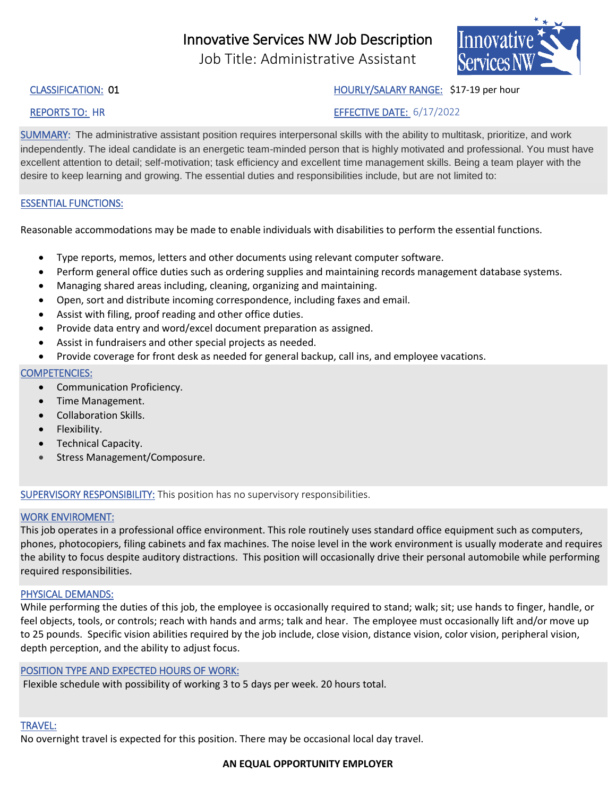# Innovative Services NW Job Description

Job Title: Administrative Assistant



## CLASSIFICATION: 01 Month 1998 Manual Manual Media Media Media Media Media Media Media Media Media Media Media M

# REPORTS TO: HR EFFECTIVE DATE: 6/17/2022

SUMMARY: The administrative assistant position requires interpersonal skills with the ability to multitask, prioritize, and work independently. The ideal candidate is an energetic team-minded person that is highly motivated and professional. You must have excellent attention to detail; self-motivation; task efficiency and excellent time management skills. Being a team player with the desire to keep learning and growing. The essential duties and responsibilities include, but are not limited to:

### ESSENTIAL FUNCTIONS:

Reasonable accommodations may be made to enable individuals with disabilities to perform the essential functions.

- Type reports, memos, letters and other documents using relevant computer software.
- Perform general office duties such as ordering supplies and maintaining records management database systems.
- Managing shared areas including, cleaning, organizing and maintaining.
- Open, sort and distribute incoming correspondence, including faxes and email.
- Assist with filing, proof reading and other office duties.
- Provide data entry and word/excel document preparation as assigned.
- Assist in fundraisers and other special projects as needed.
- Provide coverage for front desk as needed for general backup, call ins, and employee vacations.

### COMPETENCIES:

- Communication Proficiency.
- Time Management.
- Collaboration Skills.
- Flexibility.
- Technical Capacity.
- Stress Management/Composure.

SUPERVISORY RESPONSIBILITY: This position has no supervisory responsibilities.

#### WORK ENVIROMENT:

This job operates in a professional office environment. This role routinely uses standard office equipment such as computers, phones, photocopiers, filing cabinets and fax machines. The noise level in the work environment is usually moderate and requires the ability to focus despite auditory distractions. This position will occasionally drive their personal automobile while performing required responsibilities.

#### PHYSICAL DEMANDS:

While performing the duties of this job, the employee is occasionally required to stand; walk; sit; use hands to finger, handle, or feel objects, tools, or controls; reach with hands and arms; talk and hear. The employee must occasionally lift and/or move up to 25 pounds. Specific vision abilities required by the job include, close vision, distance vision, color vision, peripheral vision, depth perception, and the ability to adjust focus.

#### POSITION TYPE AND EXPECTED HOURS OF WORK:

Flexible schedule with possibility of working 3 to 5 days per week. 20 hours total.

#### TRAVEL:

No overnight travel is expected for this position. There may be occasional local day travel.